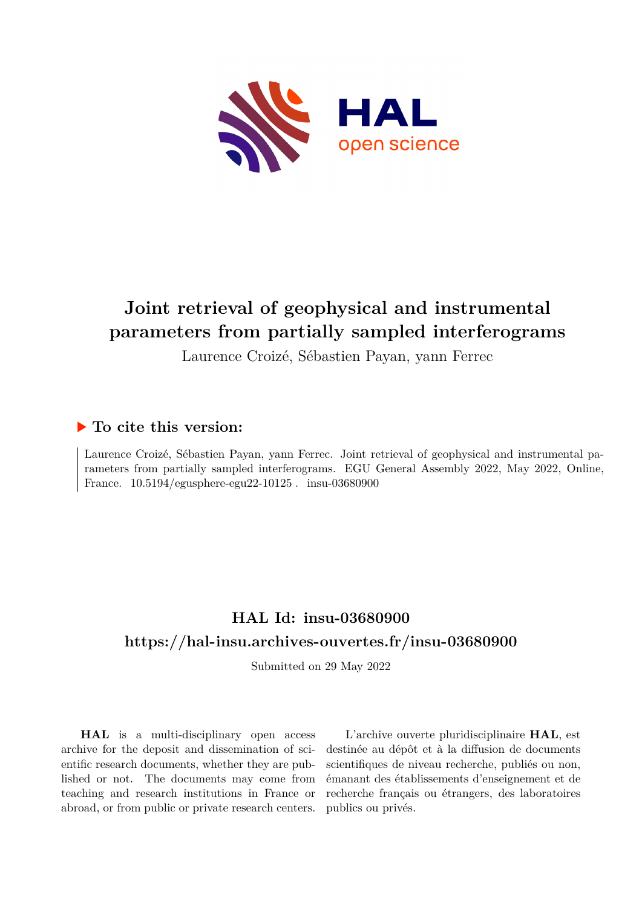

## **Joint retrieval of geophysical and instrumental parameters from partially sampled interferograms**

Laurence Croizé, Sébastien Payan, yann Ferrec

## **To cite this version:**

Laurence Croizé, Sébastien Payan, yann Ferrec. Joint retrieval of geophysical and instrumental parameters from partially sampled interferograms. EGU General Assembly 2022, May 2022, Online, France.  $10.5194/\text{egusphere-egu22-10125}$ . insu-03680900

## **HAL Id: insu-03680900 <https://hal-insu.archives-ouvertes.fr/insu-03680900>**

Submitted on 29 May 2022

**HAL** is a multi-disciplinary open access archive for the deposit and dissemination of scientific research documents, whether they are published or not. The documents may come from teaching and research institutions in France or abroad, or from public or private research centers.

L'archive ouverte pluridisciplinaire **HAL**, est destinée au dépôt et à la diffusion de documents scientifiques de niveau recherche, publiés ou non, émanant des établissements d'enseignement et de recherche français ou étrangers, des laboratoires publics ou privés.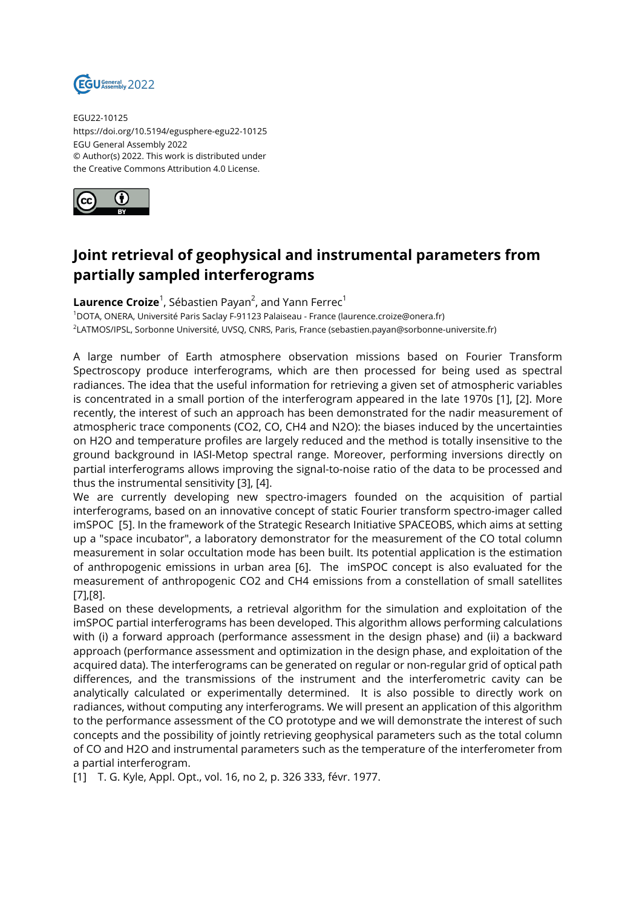

EGU22-10125 https://doi.org/10.5194/egusphere-egu22-10125 EGU General Assembly 2022 © Author(s) 2022. This work is distributed under the Creative Commons Attribution 4.0 License.



## **Joint retrieval of geophysical and instrumental parameters from partially sampled interferograms**

 $\mathsf{Laurrence\,}$  . Sébastien Payan<sup>2</sup>, and Yann Ferrec $^1$ 

<sup>1</sup>DOTA, ONERA, Université Paris Saclay F-91123 Palaiseau - France (laurence.croize@onera.fr) 2 LATMOS/IPSL, Sorbonne Université, UVSQ, CNRS, Paris, France (sebastien.payan@sorbonne-universite.fr)

A large number of Earth atmosphere observation missions based on Fourier Transform Spectroscopy produce interferograms, which are then processed for being used as spectral radiances. The idea that the useful information for retrieving a given set of atmospheric variables is concentrated in a small portion of the interferogram appeared in the late 1970s [1], [2]. More recently, the interest of such an approach has been demonstrated for the nadir measurement of atmospheric trace components (CO2, CO, CH4 and N2O): the biases induced by the uncertainties on H2O and temperature profiles are largely reduced and the method is totally insensitive to the ground background in IASI-Metop spectral range. Moreover, performing inversions directly on partial interferograms allows improving the signal-to-noise ratio of the data to be processed and thus the instrumental sensitivity [3], [4].

We are currently developing new spectro-imagers founded on the acquisition of partial interferograms, based on an innovative concept of static Fourier transform spectro-imager called imSPOC [5]. In the framework of the Strategic Research Initiative SPACEOBS, which aims at setting up a "space incubator", a laboratory demonstrator for the measurement of the CO total column measurement in solar occultation mode has been built. Its potential application is the estimation of anthropogenic emissions in urban area [6]. The imSPOC concept is also evaluated for the measurement of anthropogenic CO2 and CH4 emissions from a constellation of small satellites [7],[8].

Based on these developments, a retrieval algorithm for the simulation and exploitation of the imSPOC partial interferograms has been developed. This algorithm allows performing calculations with (i) a forward approach (performance assessment in the design phase) and (ii) a backward approach (performance assessment and optimization in the design phase, and exploitation of the acquired data). The interferograms can be generated on regular or non-regular grid of optical path differences, and the transmissions of the instrument and the interferometric cavity can be analytically calculated or experimentally determined. It is also possible to directly work on radiances, without computing any interferograms. We will present an application of this algorithm to the performance assessment of the CO prototype and we will demonstrate the interest of such concepts and the possibility of jointly retrieving geophysical parameters such as the total column of CO and H2O and instrumental parameters such as the temperature of the interferometer from a partial interferogram.

[1] T. G. Kyle, Appl. Opt., vol. 16, no 2, p. 326 333, févr. 1977.